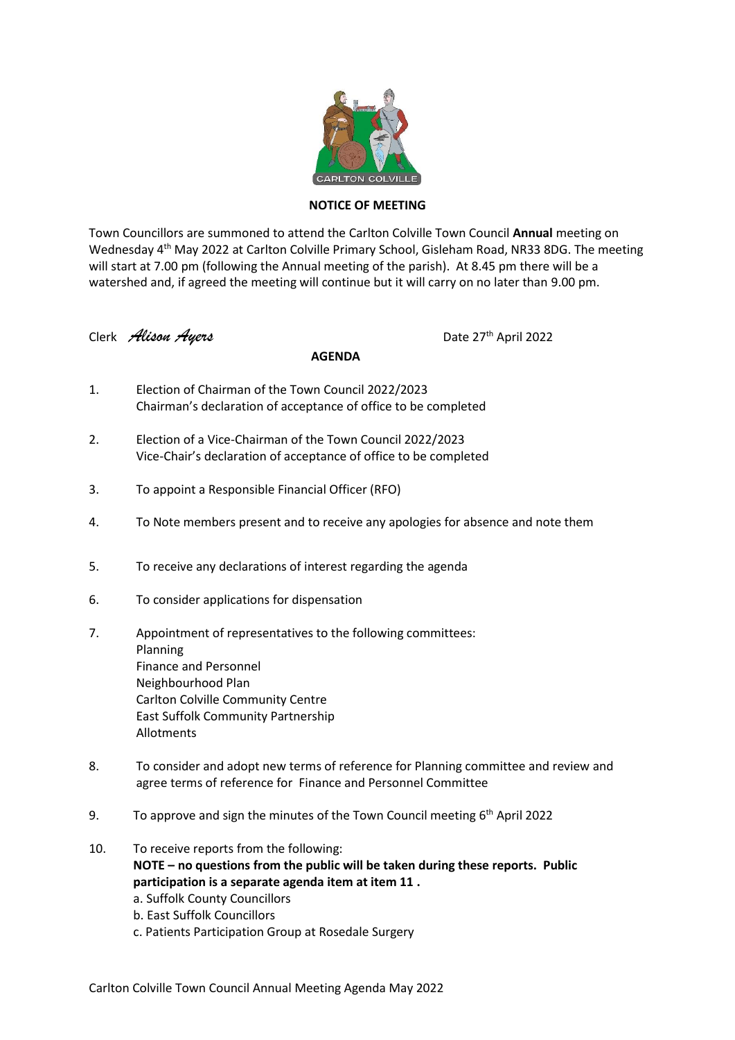

## **NOTICE OF MEETING**

Town Councillors are summoned to attend the Carlton Colville Town Council **Annual** meeting on Wednesday 4<sup>th</sup> May 2022 at Carlton Colville Primary School, Gisleham Road, NR33 8DG. The meeting will start at 7.00 pm (following the Annual meeting of the parish). At 8.45 pm there will be a watershed and, if agreed the meeting will continue but it will carry on no later than 9.00 pm.

Clerk *Alison Ayers* Date 27th April 2022

## **AGENDA**

- 1. Election of Chairman of the Town Council 2022/2023 Chairman's declaration of acceptance of office to be completed
- 2. Election of a Vice-Chairman of the Town Council 2022/2023 Vice-Chair's declaration of acceptance of office to be completed
- 3. To appoint a Responsible Financial Officer (RFO)
- 4. To Note members present and to receive any apologies for absence and note them
- 5. To receive any declarations of interest regarding the agenda
- 6. To consider applications for dispensation
- 7. Appointment of representatives to the following committees: Planning Finance and Personnel Neighbourhood Plan Carlton Colville Community Centre East Suffolk Community Partnership Allotments
- 8. To consider and adopt new terms of reference for Planning committee and review and agree terms of reference for Finance and Personnel Committee
- 9. To approve and sign the minutes of the Town Council meeting 6<sup>th</sup> April 2022
- 10. To receive reports from the following: **NOTE – no questions from the public will be taken during these reports. Public participation is a separate agenda item at item 11 .**
	- a. Suffolk County Councillors
	- b. East Suffolk Councillors
	- c. Patients Participation Group at Rosedale Surgery